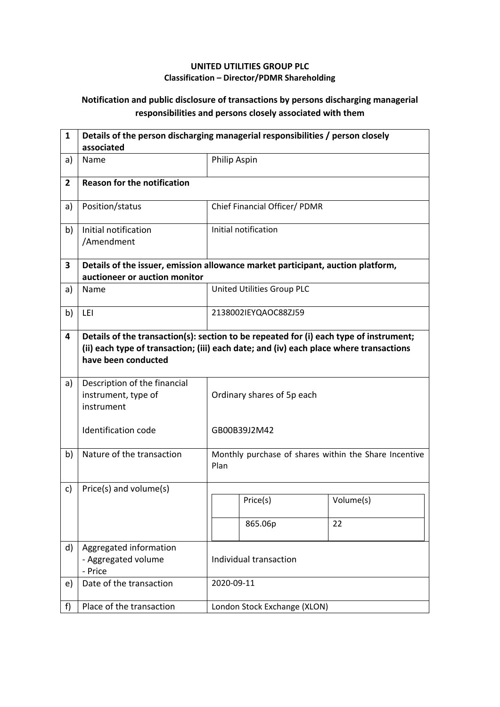## **UNITED UTILITIES GROUP PLC Classification – Director/PDMR Shareholding**

## **Notification and public disclosure of transactions by persons discharging managerial responsibilities and persons closely associated with them**

| $\mathbf{1}$   | Details of the person discharging managerial responsibilities / person closely<br>associated                                                                                                            |                        |                                                       |           |  |
|----------------|---------------------------------------------------------------------------------------------------------------------------------------------------------------------------------------------------------|------------------------|-------------------------------------------------------|-----------|--|
| a)             | Name                                                                                                                                                                                                    |                        | Philip Aspin                                          |           |  |
| $\overline{2}$ | <b>Reason for the notification</b>                                                                                                                                                                      |                        |                                                       |           |  |
| a)             | Position/status                                                                                                                                                                                         |                        | Chief Financial Officer/ PDMR                         |           |  |
| b)             | Initial notification<br>/Amendment                                                                                                                                                                      |                        | Initial notification                                  |           |  |
| 3              | Details of the issuer, emission allowance market participant, auction platform,<br>auctioneer or auction monitor                                                                                        |                        |                                                       |           |  |
| a)             | Name                                                                                                                                                                                                    |                        | United Utilities Group PLC                            |           |  |
| b)             | LEI                                                                                                                                                                                                     |                        | 2138002IEYQAOC88ZJ59                                  |           |  |
| 4              | Details of the transaction(s): section to be repeated for (i) each type of instrument;<br>(ii) each type of transaction; (iii) each date; and (iv) each place where transactions<br>have been conducted |                        |                                                       |           |  |
| a)             | Description of the financial<br>instrument, type of<br>instrument                                                                                                                                       |                        | Ordinary shares of 5p each                            |           |  |
|                | <b>Identification code</b>                                                                                                                                                                              |                        | GB00B39J2M42                                          |           |  |
| b)             | Nature of the transaction                                                                                                                                                                               | Plan                   | Monthly purchase of shares within the Share Incentive |           |  |
| c)             | Price(s) and volume(s)                                                                                                                                                                                  |                        |                                                       |           |  |
|                |                                                                                                                                                                                                         |                        | Price(s)                                              | Volume(s) |  |
|                |                                                                                                                                                                                                         |                        | 865.06p                                               | 22        |  |
| d)             | Aggregated information<br>- Aggregated volume<br>- Price                                                                                                                                                | Individual transaction |                                                       |           |  |
| e)             | Date of the transaction                                                                                                                                                                                 | 2020-09-11             |                                                       |           |  |
| f)             | Place of the transaction                                                                                                                                                                                |                        | London Stock Exchange (XLON)                          |           |  |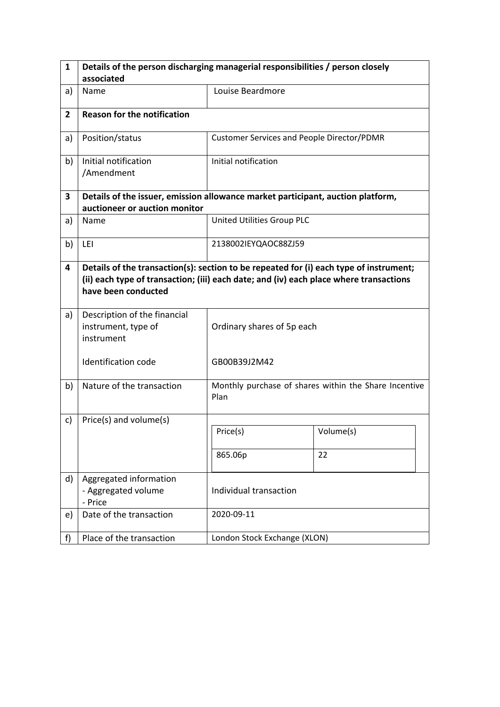| 1              | Details of the person discharging managerial responsibilities / person closely                                                                                                                          |                                                   |                                                       |  |
|----------------|---------------------------------------------------------------------------------------------------------------------------------------------------------------------------------------------------------|---------------------------------------------------|-------------------------------------------------------|--|
|                | associated                                                                                                                                                                                              |                                                   |                                                       |  |
| a)             | Name                                                                                                                                                                                                    | Louise Beardmore                                  |                                                       |  |
| $\overline{2}$ | <b>Reason for the notification</b>                                                                                                                                                                      |                                                   |                                                       |  |
| a)             | Position/status                                                                                                                                                                                         | <b>Customer Services and People Director/PDMR</b> |                                                       |  |
| b)             | Initial notification<br>/Amendment                                                                                                                                                                      | Initial notification                              |                                                       |  |
| 3              | Details of the issuer, emission allowance market participant, auction platform,<br>auctioneer or auction monitor                                                                                        |                                                   |                                                       |  |
| a)             | Name                                                                                                                                                                                                    | United Utilities Group PLC                        |                                                       |  |
| b)             | LEI                                                                                                                                                                                                     | 2138002IEYQAOC88ZJ59                              |                                                       |  |
| 4              | Details of the transaction(s): section to be repeated for (i) each type of instrument;<br>(ii) each type of transaction; (iii) each date; and (iv) each place where transactions<br>have been conducted |                                                   |                                                       |  |
| a)             | Description of the financial<br>instrument, type of<br>instrument                                                                                                                                       | Ordinary shares of 5p each                        |                                                       |  |
|                | <b>Identification code</b>                                                                                                                                                                              | GB00B39J2M42                                      |                                                       |  |
| b)             | Nature of the transaction                                                                                                                                                                               | Plan                                              | Monthly purchase of shares within the Share Incentive |  |
| c)             | Price(s) and volume(s)                                                                                                                                                                                  |                                                   |                                                       |  |
|                |                                                                                                                                                                                                         | Price(s)                                          | Volume(s)                                             |  |
|                |                                                                                                                                                                                                         | 865.06p                                           | 22                                                    |  |
| d)             | Aggregated information<br>- Aggregated volume<br>- Price                                                                                                                                                | Individual transaction                            |                                                       |  |
| e)             | Date of the transaction                                                                                                                                                                                 | 2020-09-11                                        |                                                       |  |
| f)             | Place of the transaction                                                                                                                                                                                | London Stock Exchange (XLON)                      |                                                       |  |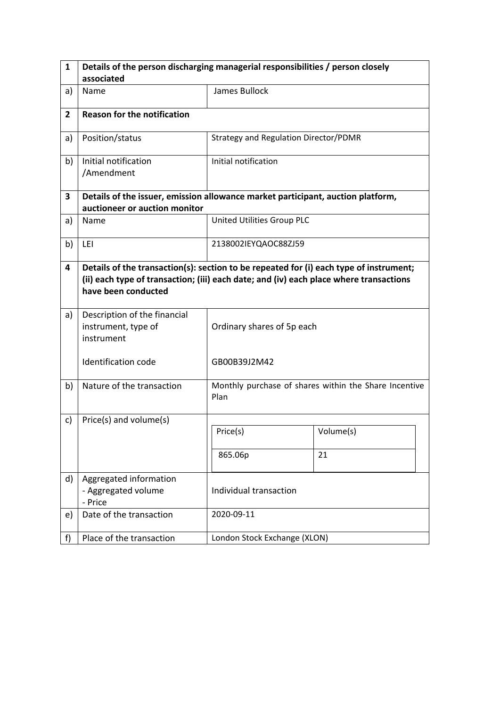| $\mathbf{1}$   | Details of the person discharging managerial responsibilities / person closely                                                                                                                          |                                       |                                                       |  |  |
|----------------|---------------------------------------------------------------------------------------------------------------------------------------------------------------------------------------------------------|---------------------------------------|-------------------------------------------------------|--|--|
|                | associated                                                                                                                                                                                              |                                       |                                                       |  |  |
| a)             | Name                                                                                                                                                                                                    | James Bullock                         |                                                       |  |  |
| $\overline{2}$ | <b>Reason for the notification</b>                                                                                                                                                                      |                                       |                                                       |  |  |
| a)             | Position/status                                                                                                                                                                                         | Strategy and Regulation Director/PDMR |                                                       |  |  |
| b)             | Initial notification<br>/Amendment                                                                                                                                                                      | Initial notification                  |                                                       |  |  |
| 3              | Details of the issuer, emission allowance market participant, auction platform,<br>auctioneer or auction monitor                                                                                        |                                       |                                                       |  |  |
| a)             | Name                                                                                                                                                                                                    | United Utilities Group PLC            |                                                       |  |  |
| b)             | LEI                                                                                                                                                                                                     | 2138002IEYQAOC88ZJ59                  |                                                       |  |  |
| 4              | Details of the transaction(s): section to be repeated for (i) each type of instrument;<br>(ii) each type of transaction; (iii) each date; and (iv) each place where transactions<br>have been conducted |                                       |                                                       |  |  |
| a)             | Description of the financial<br>instrument, type of<br>instrument                                                                                                                                       | Ordinary shares of 5p each            |                                                       |  |  |
|                | Identification code                                                                                                                                                                                     | GB00B39J2M42                          |                                                       |  |  |
| b)             | Nature of the transaction                                                                                                                                                                               | Plan                                  | Monthly purchase of shares within the Share Incentive |  |  |
| c)             | Price(s) and volume(s)                                                                                                                                                                                  |                                       |                                                       |  |  |
|                |                                                                                                                                                                                                         | Price(s)                              | Volume(s)                                             |  |  |
|                |                                                                                                                                                                                                         | 865.06p                               | 21                                                    |  |  |
| d)             | Aggregated information<br>- Aggregated volume<br>- Price                                                                                                                                                | Individual transaction                |                                                       |  |  |
| e)             | Date of the transaction                                                                                                                                                                                 | 2020-09-11                            |                                                       |  |  |
| f)             | Place of the transaction                                                                                                                                                                                | London Stock Exchange (XLON)          |                                                       |  |  |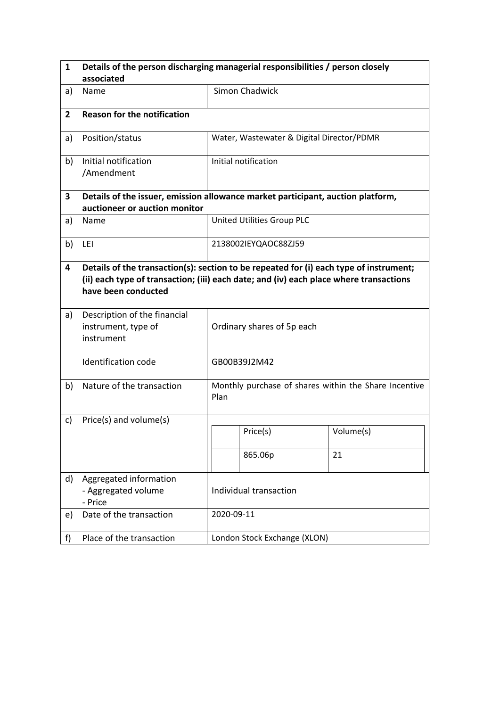| $\mathbf{1}$   | Details of the person discharging managerial responsibilities / person closely                                                                                                                          |                            |                                                       |           |  |
|----------------|---------------------------------------------------------------------------------------------------------------------------------------------------------------------------------------------------------|----------------------------|-------------------------------------------------------|-----------|--|
|                | associated                                                                                                                                                                                              |                            |                                                       |           |  |
| a)             | Name                                                                                                                                                                                                    |                            | Simon Chadwick                                        |           |  |
| $\overline{2}$ | <b>Reason for the notification</b>                                                                                                                                                                      |                            |                                                       |           |  |
| a)             | Position/status                                                                                                                                                                                         |                            | Water, Wastewater & Digital Director/PDMR             |           |  |
| b)             | Initial notification<br>/Amendment                                                                                                                                                                      |                            | Initial notification                                  |           |  |
| 3              | Details of the issuer, emission allowance market participant, auction platform,<br>auctioneer or auction monitor                                                                                        |                            |                                                       |           |  |
| a)             | Name                                                                                                                                                                                                    |                            | United Utilities Group PLC                            |           |  |
| b)             | LEI                                                                                                                                                                                                     |                            | 2138002IEYQAOC88ZJ59                                  |           |  |
| 4              | Details of the transaction(s): section to be repeated for (i) each type of instrument;<br>(ii) each type of transaction; (iii) each date; and (iv) each place where transactions<br>have been conducted |                            |                                                       |           |  |
| a)             | Description of the financial<br>instrument, type of<br>instrument                                                                                                                                       | Ordinary shares of 5p each |                                                       |           |  |
|                | <b>Identification code</b>                                                                                                                                                                              |                            | GB00B39J2M42                                          |           |  |
| b)             | Nature of the transaction                                                                                                                                                                               | Plan                       | Monthly purchase of shares within the Share Incentive |           |  |
| c)             | Price(s) and volume(s)                                                                                                                                                                                  |                            |                                                       |           |  |
|                |                                                                                                                                                                                                         |                            | Price(s)                                              | Volume(s) |  |
|                |                                                                                                                                                                                                         |                            | 865.06p                                               | 21        |  |
| d)             | Aggregated information<br>- Aggregated volume<br>- Price                                                                                                                                                | Individual transaction     |                                                       |           |  |
| e)             | Date of the transaction                                                                                                                                                                                 | 2020-09-11                 |                                                       |           |  |
| f)             | Place of the transaction                                                                                                                                                                                |                            | London Stock Exchange (XLON)                          |           |  |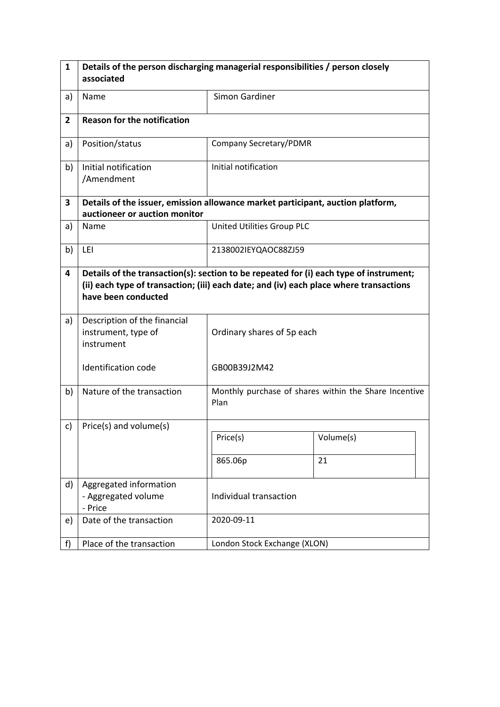| $\mathbf{1}$   | Details of the person discharging managerial responsibilities / person closely                                                                                                                          |                              |                                                       |  |  |
|----------------|---------------------------------------------------------------------------------------------------------------------------------------------------------------------------------------------------------|------------------------------|-------------------------------------------------------|--|--|
|                | associated                                                                                                                                                                                              |                              |                                                       |  |  |
| a)             | Name                                                                                                                                                                                                    | Simon Gardiner               |                                                       |  |  |
| $\overline{2}$ | <b>Reason for the notification</b>                                                                                                                                                                      |                              |                                                       |  |  |
| a)             | Position/status                                                                                                                                                                                         | Company Secretary/PDMR       |                                                       |  |  |
| b)             | Initial notification<br>/Amendment                                                                                                                                                                      | Initial notification         |                                                       |  |  |
| 3              | Details of the issuer, emission allowance market participant, auction platform,<br>auctioneer or auction monitor                                                                                        |                              |                                                       |  |  |
| a)             | Name                                                                                                                                                                                                    | United Utilities Group PLC   |                                                       |  |  |
| b)             | LEI                                                                                                                                                                                                     | 2138002IEYQAOC88ZJ59         |                                                       |  |  |
| 4              | Details of the transaction(s): section to be repeated for (i) each type of instrument;<br>(ii) each type of transaction; (iii) each date; and (iv) each place where transactions<br>have been conducted |                              |                                                       |  |  |
| a)             | Description of the financial<br>instrument, type of<br>instrument                                                                                                                                       | Ordinary shares of 5p each   |                                                       |  |  |
|                | <b>Identification code</b>                                                                                                                                                                              | GB00B39J2M42                 |                                                       |  |  |
| b)             | Nature of the transaction                                                                                                                                                                               | Plan                         | Monthly purchase of shares within the Share Incentive |  |  |
| c)             | Price(s) and volume(s)                                                                                                                                                                                  |                              |                                                       |  |  |
|                |                                                                                                                                                                                                         | Price(s)                     | Volume(s)                                             |  |  |
|                |                                                                                                                                                                                                         | 865.06p                      | 21                                                    |  |  |
| d)             | Aggregated information<br>- Aggregated volume<br>- Price                                                                                                                                                | Individual transaction       |                                                       |  |  |
| e)             | Date of the transaction                                                                                                                                                                                 | 2020-09-11                   |                                                       |  |  |
| f              | Place of the transaction                                                                                                                                                                                | London Stock Exchange (XLON) |                                                       |  |  |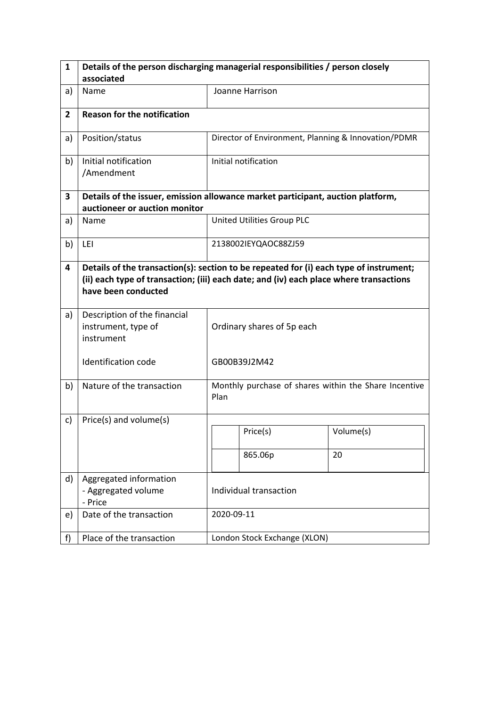| 1              | Details of the person discharging managerial responsibilities / person closely                                                                                                                          |                                                               |                              |                                                     |  |
|----------------|---------------------------------------------------------------------------------------------------------------------------------------------------------------------------------------------------------|---------------------------------------------------------------|------------------------------|-----------------------------------------------------|--|
|                | associated                                                                                                                                                                                              |                                                               |                              |                                                     |  |
| a)             | Name                                                                                                                                                                                                    |                                                               | Joanne Harrison              |                                                     |  |
| $\overline{2}$ | <b>Reason for the notification</b>                                                                                                                                                                      |                                                               |                              |                                                     |  |
| a)             | Position/status                                                                                                                                                                                         |                                                               |                              | Director of Environment, Planning & Innovation/PDMR |  |
| b)             | Initial notification<br>/Amendment                                                                                                                                                                      |                                                               | Initial notification         |                                                     |  |
| 3              | Details of the issuer, emission allowance market participant, auction platform,<br>auctioneer or auction monitor                                                                                        |                                                               |                              |                                                     |  |
| a)             | Name                                                                                                                                                                                                    |                                                               | United Utilities Group PLC   |                                                     |  |
| b)             | LEI                                                                                                                                                                                                     |                                                               | 2138002IEYQAOC88ZJ59         |                                                     |  |
| 4              | Details of the transaction(s): section to be repeated for (i) each type of instrument;<br>(ii) each type of transaction; (iii) each date; and (iv) each place where transactions<br>have been conducted |                                                               |                              |                                                     |  |
| a)             | Description of the financial<br>instrument, type of<br>instrument                                                                                                                                       | Ordinary shares of 5p each                                    |                              |                                                     |  |
|                | <b>Identification code</b>                                                                                                                                                                              | GB00B39J2M42                                                  |                              |                                                     |  |
| b)             | Nature of the transaction                                                                                                                                                                               | Monthly purchase of shares within the Share Incentive<br>Plan |                              |                                                     |  |
| c)             | Price(s) and volume(s)                                                                                                                                                                                  |                                                               |                              |                                                     |  |
|                |                                                                                                                                                                                                         |                                                               | Price(s)                     | Volume(s)                                           |  |
|                |                                                                                                                                                                                                         |                                                               | 865.06p                      | 20                                                  |  |
| d)             | Aggregated information<br>- Aggregated volume<br>- Price                                                                                                                                                | Individual transaction                                        |                              |                                                     |  |
| e)             | Date of the transaction                                                                                                                                                                                 | 2020-09-11                                                    |                              |                                                     |  |
| f)             | Place of the transaction                                                                                                                                                                                |                                                               | London Stock Exchange (XLON) |                                                     |  |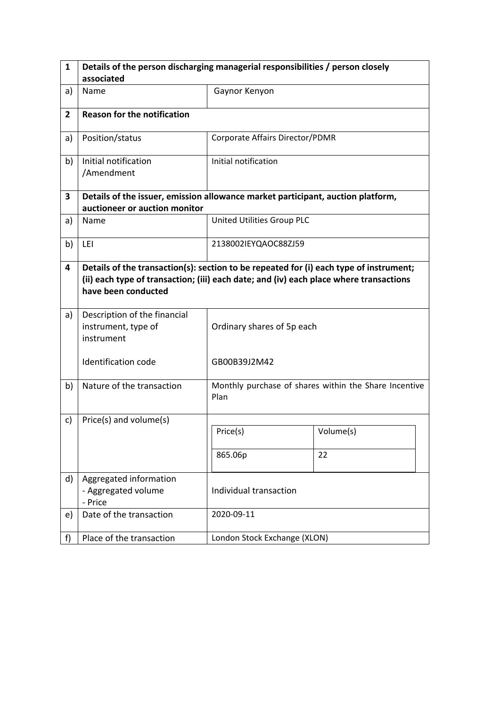| $\mathbf{1}$   | Details of the person discharging managerial responsibilities / person closely                                                                                                                          |                                 |                                                       |  |
|----------------|---------------------------------------------------------------------------------------------------------------------------------------------------------------------------------------------------------|---------------------------------|-------------------------------------------------------|--|
|                | associated                                                                                                                                                                                              |                                 |                                                       |  |
| a)             | Name                                                                                                                                                                                                    | Gaynor Kenyon                   |                                                       |  |
| $\overline{2}$ | <b>Reason for the notification</b>                                                                                                                                                                      |                                 |                                                       |  |
| a)             | Position/status                                                                                                                                                                                         | Corporate Affairs Director/PDMR |                                                       |  |
| b)             | Initial notification<br>/Amendment                                                                                                                                                                      | Initial notification            |                                                       |  |
| 3              | Details of the issuer, emission allowance market participant, auction platform,<br>auctioneer or auction monitor                                                                                        |                                 |                                                       |  |
| a)             | Name                                                                                                                                                                                                    | United Utilities Group PLC      |                                                       |  |
| b)             | LEI                                                                                                                                                                                                     | 2138002IEYQAOC88ZJ59            |                                                       |  |
| 4              | Details of the transaction(s): section to be repeated for (i) each type of instrument;<br>(ii) each type of transaction; (iii) each date; and (iv) each place where transactions<br>have been conducted |                                 |                                                       |  |
| a)             | Description of the financial<br>instrument, type of<br>instrument                                                                                                                                       | Ordinary shares of 5p each      |                                                       |  |
|                | Identification code                                                                                                                                                                                     | GB00B39J2M42                    |                                                       |  |
| b)             | Nature of the transaction                                                                                                                                                                               | Plan                            | Monthly purchase of shares within the Share Incentive |  |
| c)             | Price(s) and volume(s)                                                                                                                                                                                  |                                 |                                                       |  |
|                |                                                                                                                                                                                                         | Price(s)                        | Volume(s)                                             |  |
|                |                                                                                                                                                                                                         | 865.06p                         | 22                                                    |  |
| d)             | Aggregated information<br>- Aggregated volume<br>- Price                                                                                                                                                | Individual transaction          |                                                       |  |
| e)             | Date of the transaction                                                                                                                                                                                 | 2020-09-11                      |                                                       |  |
| f)             | Place of the transaction                                                                                                                                                                                | London Stock Exchange (XLON)    |                                                       |  |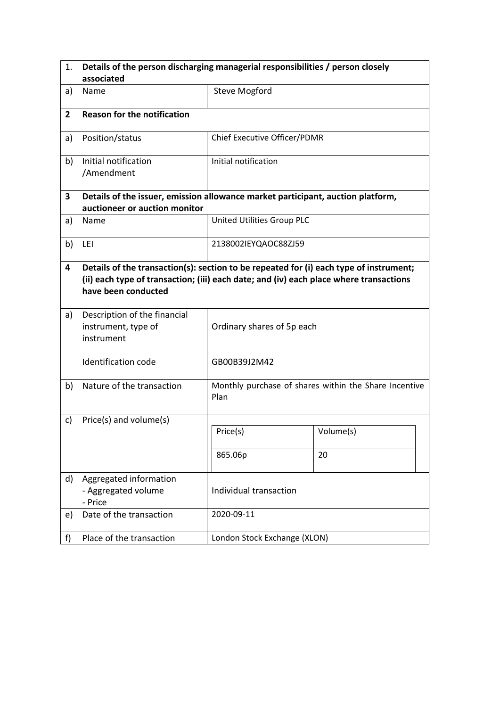| 1.             | Details of the person discharging managerial responsibilities / person closely                                                                                                                          |                              |                                                       |  |
|----------------|---------------------------------------------------------------------------------------------------------------------------------------------------------------------------------------------------------|------------------------------|-------------------------------------------------------|--|
|                | associated                                                                                                                                                                                              |                              |                                                       |  |
| a)             | Name                                                                                                                                                                                                    | <b>Steve Mogford</b>         |                                                       |  |
| $\overline{2}$ | <b>Reason for the notification</b>                                                                                                                                                                      |                              |                                                       |  |
| a)             | Position/status                                                                                                                                                                                         | Chief Executive Officer/PDMR |                                                       |  |
| b)             | Initial notification<br>/Amendment                                                                                                                                                                      | Initial notification         |                                                       |  |
| 3              | Details of the issuer, emission allowance market participant, auction platform,<br>auctioneer or auction monitor                                                                                        |                              |                                                       |  |
| a)             | Name                                                                                                                                                                                                    | United Utilities Group PLC   |                                                       |  |
| b)             | LEI                                                                                                                                                                                                     | 2138002IEYQAOC88ZJ59         |                                                       |  |
| 4              | Details of the transaction(s): section to be repeated for (i) each type of instrument;<br>(ii) each type of transaction; (iii) each date; and (iv) each place where transactions<br>have been conducted |                              |                                                       |  |
| a)             | Description of the financial<br>instrument, type of<br>instrument                                                                                                                                       | Ordinary shares of 5p each   |                                                       |  |
|                | <b>Identification code</b>                                                                                                                                                                              | GB00B39J2M42                 |                                                       |  |
| b)             | Nature of the transaction                                                                                                                                                                               | Plan                         | Monthly purchase of shares within the Share Incentive |  |
| c)             | Price(s) and volume(s)                                                                                                                                                                                  |                              |                                                       |  |
|                |                                                                                                                                                                                                         | Price(s)                     | Volume(s)                                             |  |
|                |                                                                                                                                                                                                         | 865.06p                      | 20                                                    |  |
| d)             | Aggregated information<br>- Aggregated volume<br>- Price                                                                                                                                                | Individual transaction       |                                                       |  |
| e)             | Date of the transaction                                                                                                                                                                                 | 2020-09-11                   |                                                       |  |
| f)             | Place of the transaction                                                                                                                                                                                | London Stock Exchange (XLON) |                                                       |  |